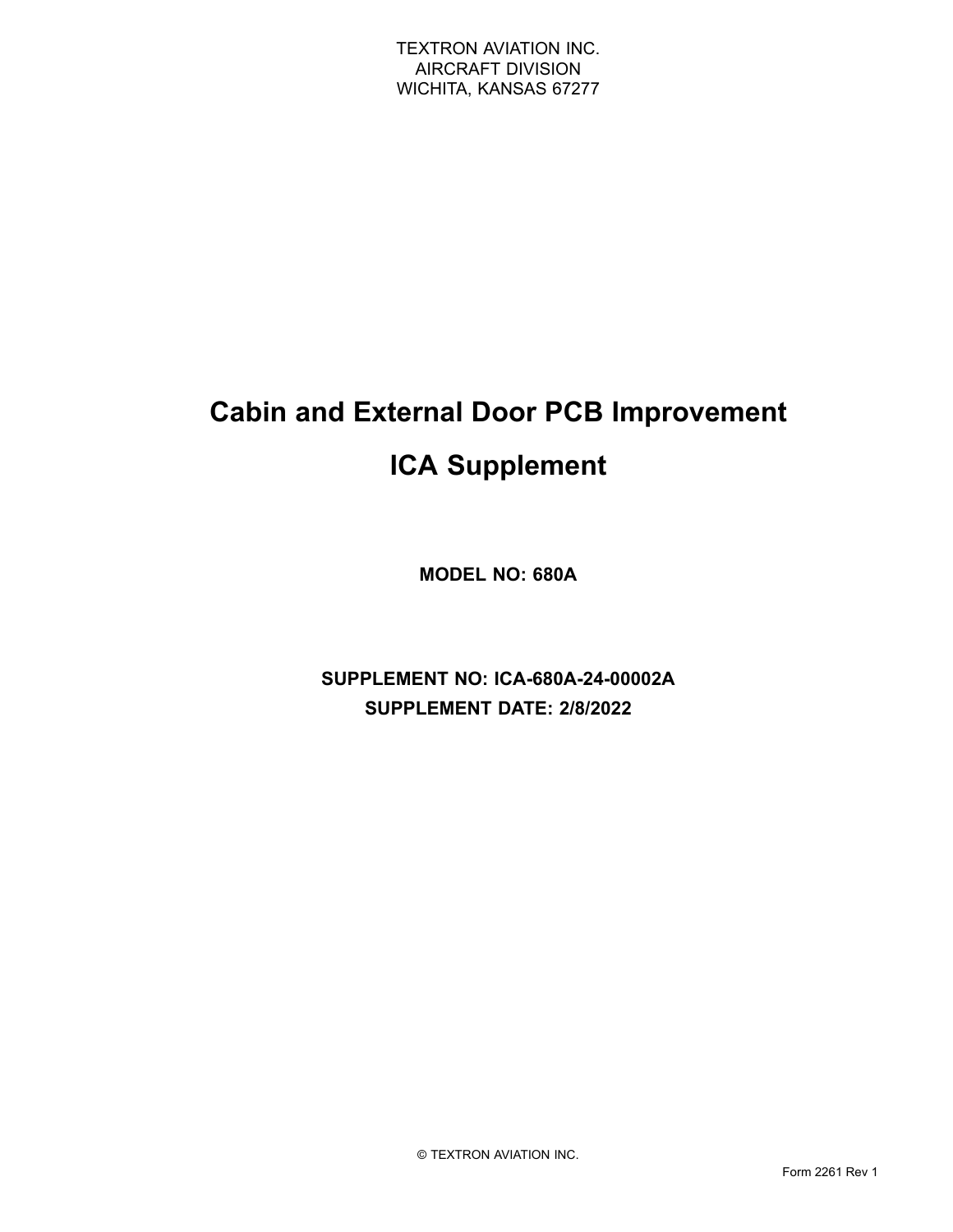# **Cabin and External Door PCB Improvement ICA Supplement**

**MODEL NO: 680A**

**SUPPLEMENT NO: ICA-680A-24-00002A SUPPLEMENT DATE: 2/8/2022**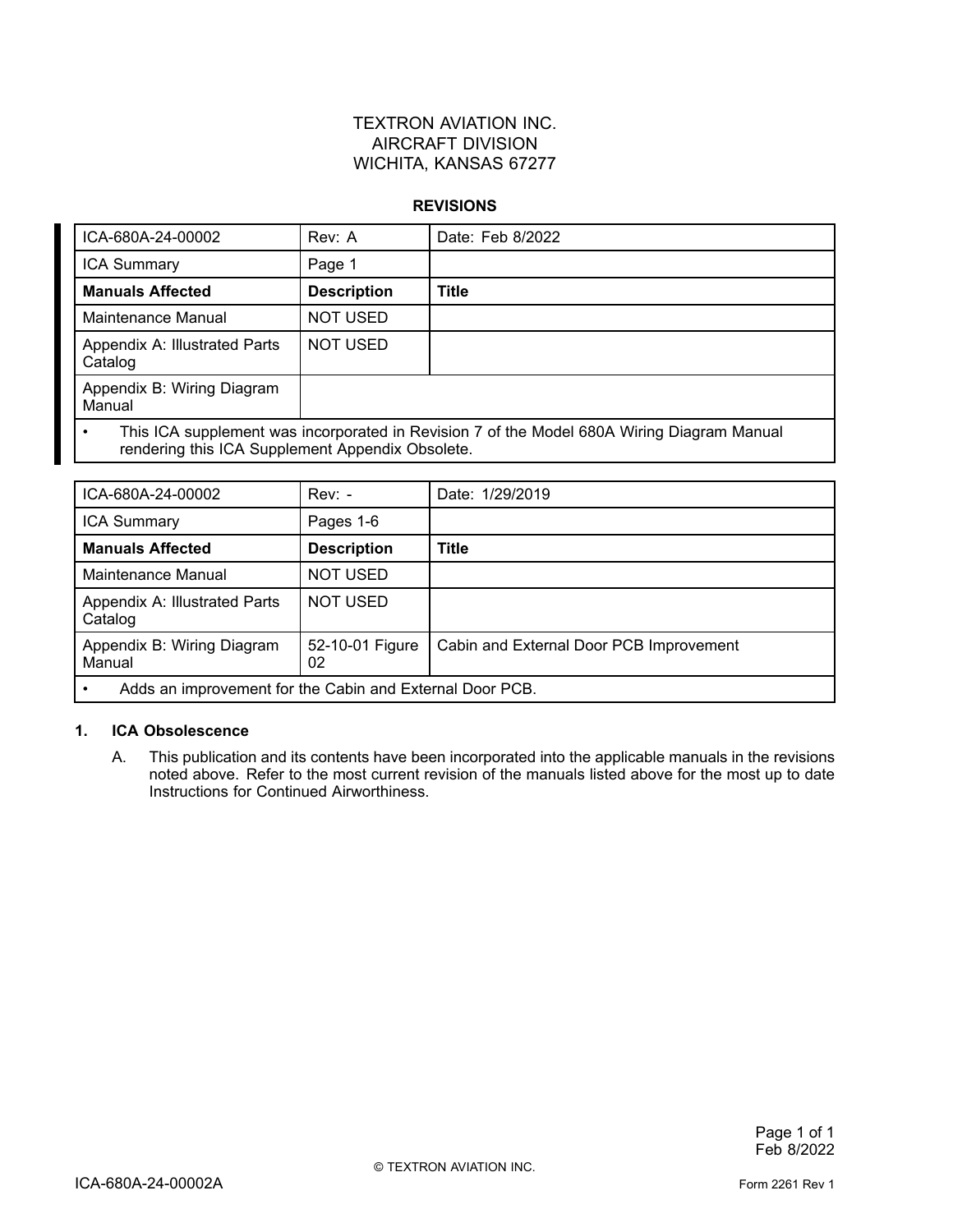### TEXTRON AVIATION INC. AIRCRAFT DIVISION WICHITA, KANSAS 67277

#### **REVISIONS**

| ICA-680A-24-00002                                                                                                                                           | Rev: A             | Date: Feb 8/2022 |  |
|-------------------------------------------------------------------------------------------------------------------------------------------------------------|--------------------|------------------|--|
| <b>ICA Summary</b>                                                                                                                                          | Page 1             |                  |  |
| <b>Manuals Affected</b>                                                                                                                                     | <b>Description</b> | Title            |  |
| Maintenance Manual                                                                                                                                          | <b>NOT USED</b>    |                  |  |
| Appendix A: Illustrated Parts<br>Catalog                                                                                                                    | <b>NOT USED</b>    |                  |  |
| Appendix B: Wiring Diagram<br>Manual                                                                                                                        |                    |                  |  |
| This ICA supplement was incorporated in Revision 7 of the Model 680A Wiring Diagram Manual<br>$\bullet$<br>rendering this ICA Supplement Appendix Obsolete. |                    |                  |  |

| ICA-680A-24-00002                                        | $Rev: -$              | Date: 1/29/2019                         |  |
|----------------------------------------------------------|-----------------------|-----------------------------------------|--|
| <b>ICA Summary</b>                                       | Pages 1-6             |                                         |  |
| <b>Manuals Affected</b>                                  | <b>Description</b>    | Title                                   |  |
| Maintenance Manual                                       | NOT USED              |                                         |  |
| Appendix A: Illustrated Parts<br>Catalog                 | <b>NOT USED</b>       |                                         |  |
| Appendix B: Wiring Diagram<br>Manual                     | 52-10-01 Figure<br>02 | Cabin and External Door PCB Improvement |  |
| Adds an improvement for the Cabin and External Door PCB. |                       |                                         |  |

### **1. ICA Obsolescence**

A. This publication and its contents have been incorporated into the applicable manuals in the revisions noted above. Refer to the most current revision of the manuals listed above for the most up to date Instructions for Continued Airworthiness.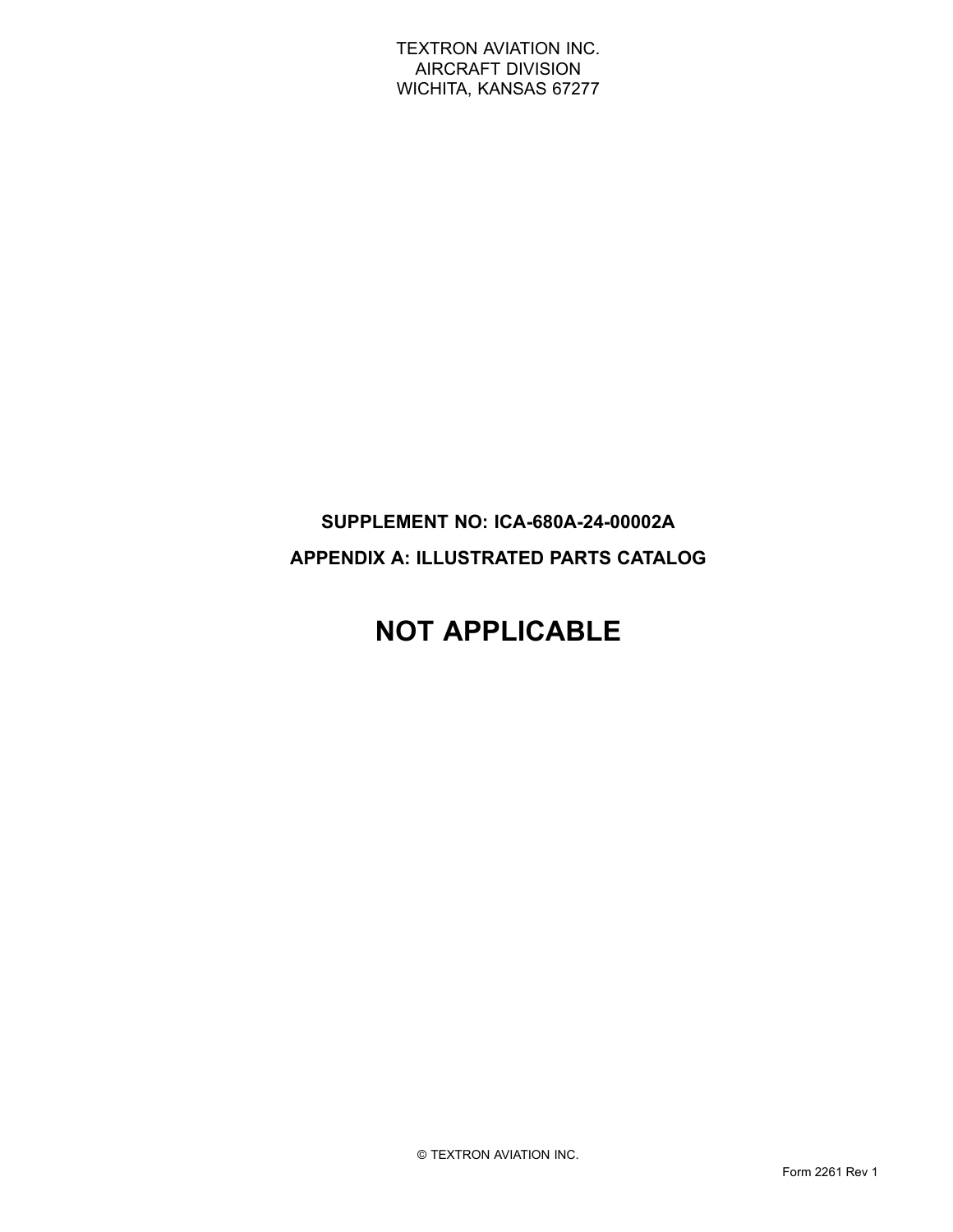TEXTRON AVIATION INC. AIRCRAFT DIVISION WICHITA, KANSAS 67277

### **SUPPLEMENT NO: ICA-680A-24-00002A APPENDIX A: ILLUSTRATED PARTS CATALOG**

## **NOT APPLICABLE**